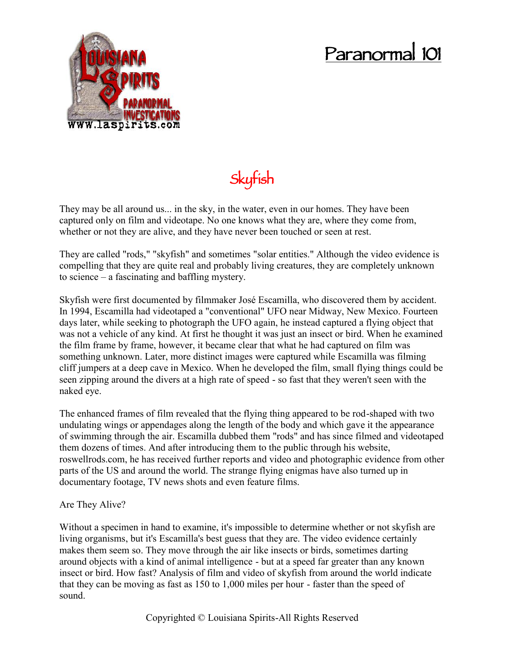## **Paranormal 101**



**Skyfish**

They may be all around us... in the sky, in the water, even in our homes. They have been captured only on film and videotape. No one knows what they are, where they come from, whether or not they are alive, and they have never been touched or seen at rest.

They are called "rods," "skyfish" and sometimes "solar entities." Although the video evidence is compelling that they are quite real and probably living creatures, they are completely unknown to science – a fascinating and baffling mystery.

Skyfish were first documented by filmmaker José Escamilla, who discovered them by accident. In 1994, Escamilla had videotaped a "conventional" UFO near Midway, New Mexico. Fourteen days later, while seeking to photograph the UFO again, he instead captured a flying object that was not a vehicle of any kind. At first he thought it was just an insect or bird. When he examined the film frame by frame, however, it became clear that what he had captured on film was something unknown. Later, more distinct images were captured while Escamilla was filming cliff jumpers at a deep cave in Mexico. When he developed the film, small flying things could be seen zipping around the divers at a high rate of speed - so fast that they weren't seen with the naked eye.

The enhanced frames of film revealed that the flying thing appeared to be rod-shaped with two undulating wings or appendages along the length of the body and which gave it the appearance of swimming through the air. Escamilla dubbed them "rods" and has since filmed and videotaped them dozens of times. And after introducing them to the public through his website, roswellrods.com, he has received further reports and video and photographic evidence from other parts of the US and around the world. The strange flying enigmas have also turned up in documentary footage, TV news shots and even feature films.

Are They Alive?

Without a specimen in hand to examine, it's impossible to determine whether or not skyfish are living organisms, but it's Escamilla's best guess that they are. The video evidence certainly makes them seem so. They move through the air like insects or birds, sometimes darting around objects with a kind of animal intelligence - but at a speed far greater than any known insect or bird. How fast? Analysis of film and video of skyfish from around the world indicate that they can be moving as fast as 150 to 1,000 miles per hour - faster than the speed of sound.